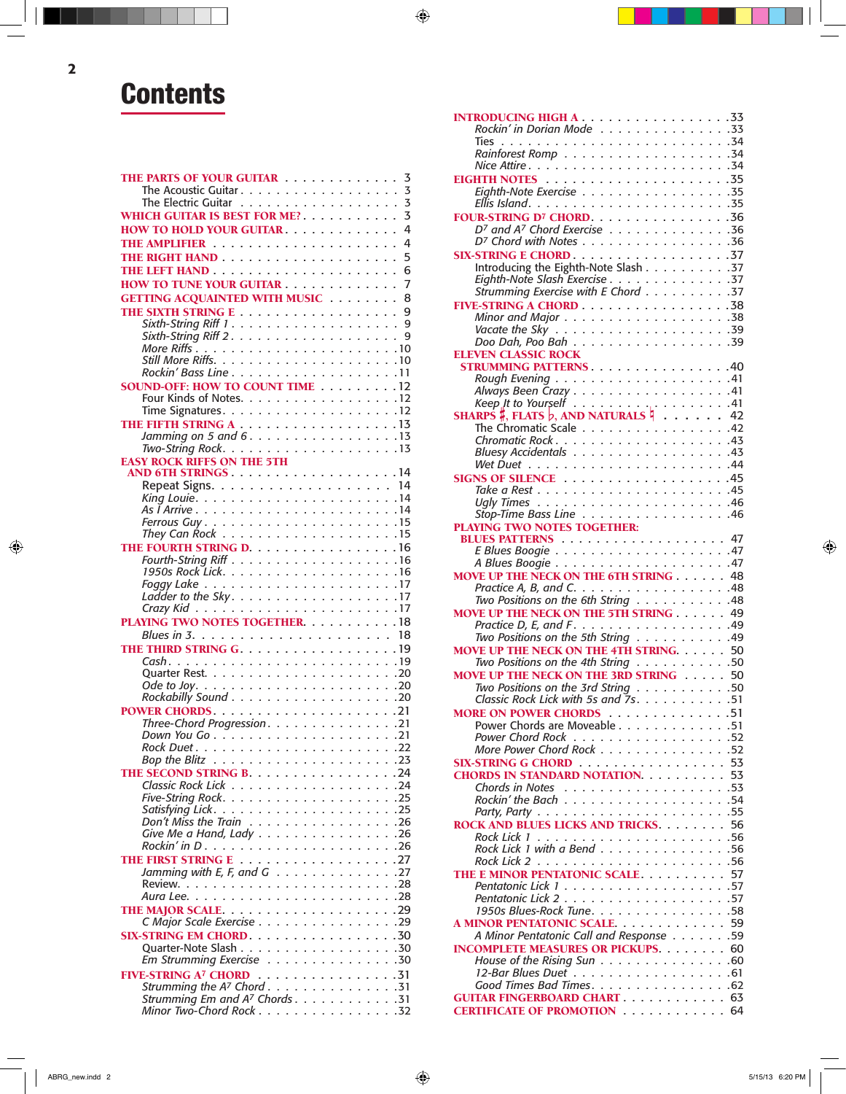## **Contents**

| THE PARTS OF YOUR GUITAR                                              | 3      |
|-----------------------------------------------------------------------|--------|
| The Acoustic Guitar.                                                  | 3      |
| <b>The Electric Guitar</b><br>.<br>WHICH GUITAR IS BEST FOR ME?       | 3<br>3 |
|                                                                       | 4      |
| HOW TO HOLD YOUR GUITAR.                                              | 4      |
|                                                                       |        |
|                                                                       | 5<br>6 |
| HOW TO TUNE YOUR GUITAR                                               | 7      |
| <b>GETTING ACQUAINTED WITH MUSIC</b>                                  | 8      |
|                                                                       | 9      |
| Sixth-String Riff $1 \ldots \ldots \ldots \ldots \ldots$              | 9      |
|                                                                       | 9      |
|                                                                       |        |
|                                                                       | .10    |
|                                                                       |        |
| <b>SOUND-OFF: HOW TO COUNT TIME 12</b>                                |        |
| Four Kinds of Notes. 12                                               |        |
|                                                                       |        |
|                                                                       |        |
| Jamming on 5 and 6. 13<br>Two-String Rock. $\ldots$ . 13              |        |
| <b>EASY ROCK RIFFS ON THE 5TH</b>                                     |        |
|                                                                       |        |
|                                                                       |        |
|                                                                       |        |
|                                                                       |        |
|                                                                       |        |
| They Can Rock $\ldots \ldots \ldots \ldots \ldots \ldots \ldots 15$   |        |
| THE FOURTH STRING D. 16                                               |        |
|                                                                       |        |
|                                                                       |        |
|                                                                       |        |
|                                                                       |        |
|                                                                       |        |
| <b>PLAYING TWO NOTES TOGETHER. 18</b>                                 |        |
|                                                                       |        |
|                                                                       |        |
|                                                                       |        |
|                                                                       |        |
|                                                                       |        |
|                                                                       | .20    |
|                                                                       |        |
| Three-Chord Progression. 21                                           |        |
|                                                                       |        |
|                                                                       |        |
| THE SECOND STRING B. 24                                               |        |
|                                                                       |        |
|                                                                       |        |
| Satisfying Lick                                                       |        |
| Don't Miss the Train $\ldots \ldots \ldots \ldots \ldots \ldots$ . 26 |        |
| Give Me a Hand, Lady 26                                               |        |
|                                                                       |        |
|                                                                       |        |
| Jamming with E, F, and G $\ldots \ldots \ldots \ldots \ldots 27$      |        |
|                                                                       |        |
|                                                                       |        |
| C Major Scale Exercise 29                                             |        |
| SIX-STRING EM CHORD. 30                                               |        |
|                                                                       |        |
| Em Strumming Exercise 30                                              |        |
| FIVE-STRING A <sup>7</sup> CHORD 31                                   |        |
| Strumming the A <sup>7</sup> Chord 31                                 |        |
| Strumming Em and A <sup>7</sup> Chords. 31<br>Minor Two-Chord Rock 32 |        |

| Rockin' in Dorian Mode 33                                                     |  |
|-------------------------------------------------------------------------------|--|
|                                                                               |  |
|                                                                               |  |
|                                                                               |  |
| Eighth-Note Exercise 35                                                       |  |
|                                                                               |  |
| FOUR-STRING D <sup>7</sup> CHORD. 36                                          |  |
| D7 and A7 Chord Exercise 36                                                   |  |
| D <sup>7</sup> Chord with Notes 36                                            |  |
|                                                                               |  |
| Introducing the Eighth-Note Slash 37                                          |  |
| Eighth-Note Slash Exercise 37                                                 |  |
| Strumming Exercise with E Chord 37                                            |  |
| FIVE-STRING A CHORD 38                                                        |  |
|                                                                               |  |
| Vacate the Sky $\ldots \ldots \ldots \ldots \ldots \ldots \ldots 39$          |  |
| Doo Dah, Poo Bah 39                                                           |  |
| <b>ELEVEN CLASSIC ROCK</b>                                                    |  |
| <b>STRUMMING PATTERNS40</b>                                                   |  |
|                                                                               |  |
| Always Been Crazy 41                                                          |  |
|                                                                               |  |
| The Chromatic Scale 42                                                        |  |
|                                                                               |  |
|                                                                               |  |
|                                                                               |  |
|                                                                               |  |
|                                                                               |  |
|                                                                               |  |
|                                                                               |  |
| Stop-Time Bass Line 46<br>PLAYING TWO NOTES TOGETHER:                         |  |
|                                                                               |  |
|                                                                               |  |
|                                                                               |  |
|                                                                               |  |
| <b>MOVE UP THE NECK ON THE 6TH STRING  48</b>                                 |  |
|                                                                               |  |
| Practice A, B, and C. 48<br>Two Positions on the 6th String 48                |  |
| MOVE UP THE NECK ON THE 5TH STRING 49                                         |  |
|                                                                               |  |
|                                                                               |  |
| <b>MOVE UP THE NECK ON THE 4TH STRING 50</b>                                  |  |
| Two Positions on the 4th String 50                                            |  |
| <b>MOVE UP THE NECK ON THE 3RD STRING 50</b>                                  |  |
| Two Positions on the 3rd String 50<br>Classic Rock Lick with 5s and $7s$ . 51 |  |
|                                                                               |  |
|                                                                               |  |
| <b>MORE ON POWER CHORDS</b> 51<br>Power Chords are Moveable 51                |  |
| Power Chord Rock 52<br>More Power Chord Rock 52                               |  |
| SIX-STRING G CHORD 53                                                         |  |
| <b>CHORDS IN STANDARD NOTATION. 53</b>                                        |  |
|                                                                               |  |
|                                                                               |  |
|                                                                               |  |
| ROCK AND BLUES LICKS AND TRICKS. 56                                           |  |
|                                                                               |  |
|                                                                               |  |
|                                                                               |  |
| THE E MINOR PENTATONIC SCALE 57                                               |  |
|                                                                               |  |
|                                                                               |  |
| 1950s Blues-Rock Tune. 58                                                     |  |
| A MINOR PENTATONIC SCALE 59<br>A Minor Pentatonic Call and Response 59        |  |
| <b>INCOMPLETE MEASURES OR PICKUPS.</b> 60                                     |  |
| House of the Rising Sun 60                                                    |  |
| 12-Bar Blues Duet 61                                                          |  |
| Good Times Bad Times. 62                                                      |  |
| <b>GUITAR FINGERBOARD CHART 63</b><br><b>CERTIFICATE OF PROMOTION</b> 64      |  |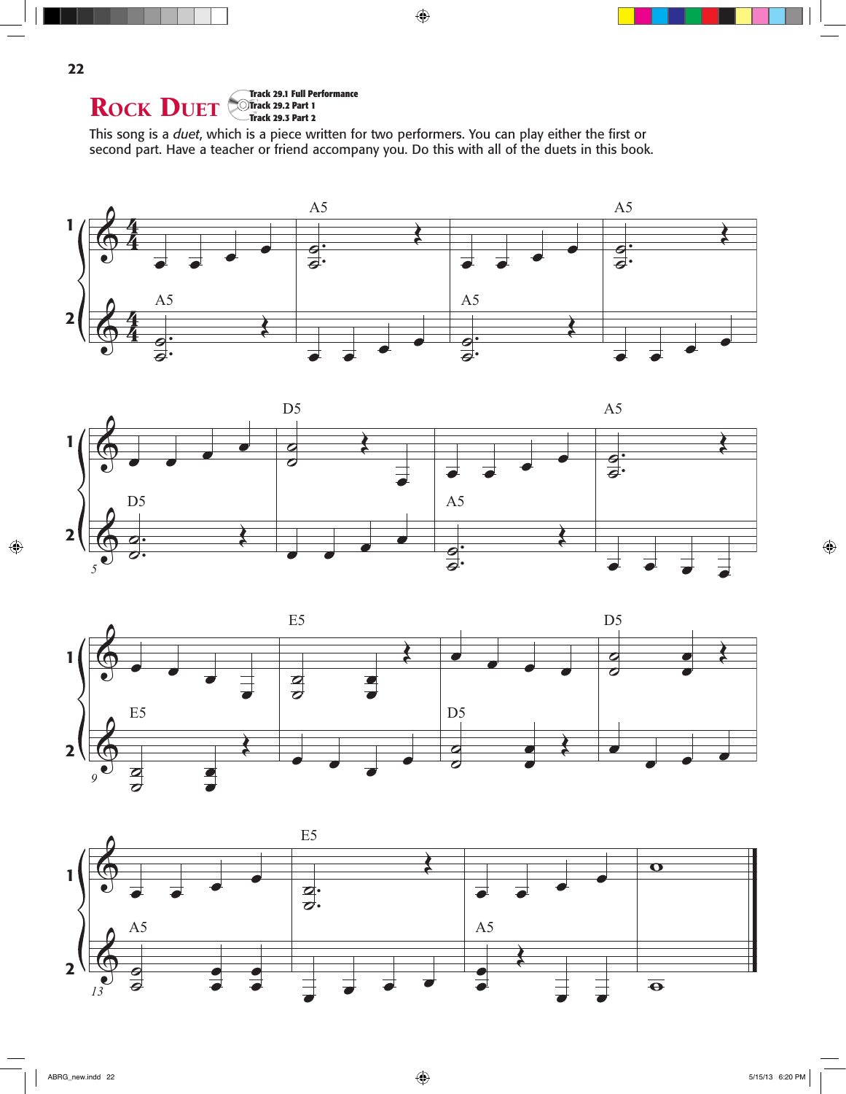

This song is a *duet*, which is a piece written for two performers. You can play either the first or second part. Have a teacher or friend accompany you. Do this with all of the duets in this book.